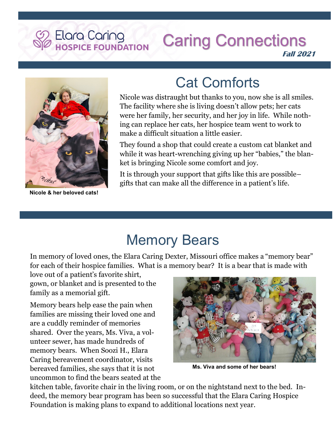# Elara Caring<br>HOSPICE FOUNDATION

#### **Caring Connections Fall 2021**



**Nicole & her beloved cats!**

## Cat Comforts

Nicole was distraught but thanks to you, now she is all smiles. The facility where she is living doesn't allow pets; her cats were her family, her security, and her joy in life. While nothing can replace her cats, her hospice team went to work to make a difficult situation a little easier.

They found a shop that could create a custom cat blanket and while it was heart-wrenching giving up her "babies," the blanket is bringing Nicole some comfort and joy.

It is through your support that gifts like this are possible– gifts that can make all the difference in a patient's life.

### Memory Bears

In memory of loved ones, the Elara Caring Dexter, Missouri office makes a "memory bear" for each of their hospice families. What is a memory bear? It is a bear that is made with

love out of a patient's favorite shirt, gown, or blanket and is presented to the family as a memorial gift.

Memory bears help ease the pain when families are missing their loved one and are a cuddly reminder of memories shared. Over the years, Ms. Viva, a volunteer sewer, has made hundreds of memory bears. When Soozi H., Elara Caring bereavement coordinator, visits bereaved families, she says that it is not uncommon to find the bears seated at the



**Ms. Viva and some of her bears!**

kitchen table, favorite chair in the living room, or on the nightstand next to the bed. Indeed, the memory bear program has been so successful that the Elara Caring Hospice Foundation is making plans to expand to additional locations next year.